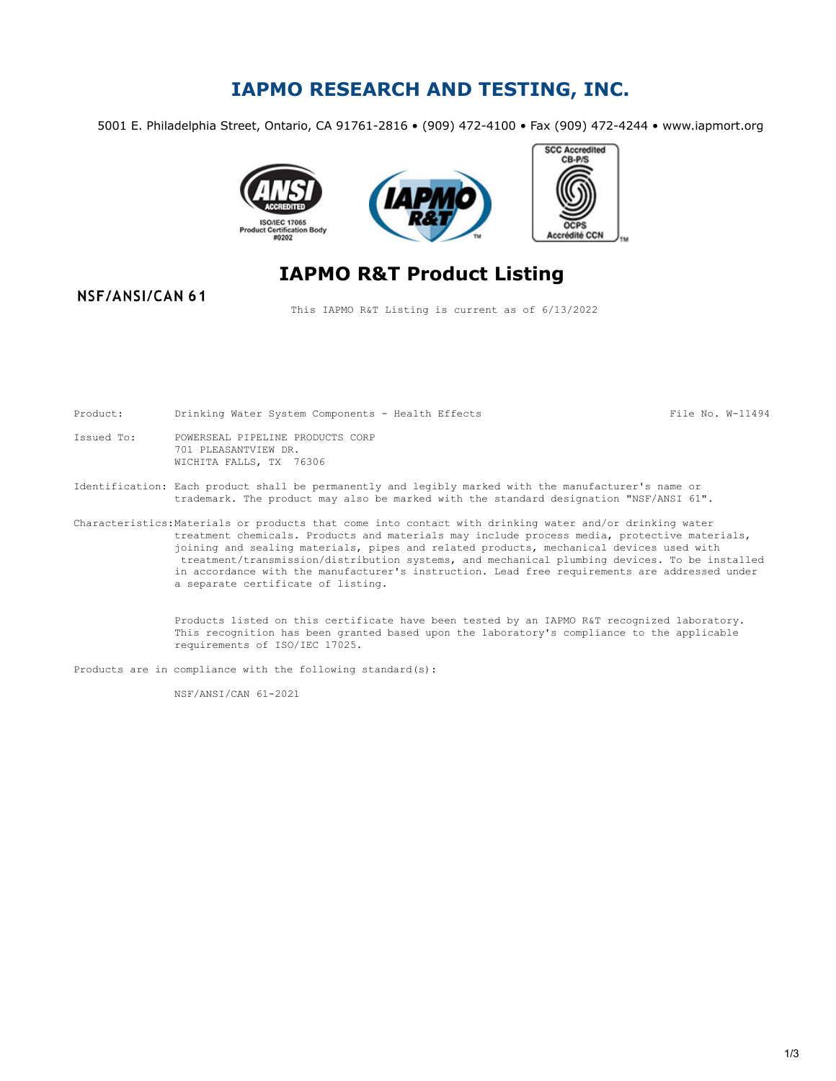## **IAPMO RESEARCH AND TESTING, INC.**

5001 E. Philadelphia Street, Ontario, CA 91761-2816 • (909) 472-4100 • Fax (909) 472-4244 • www.iapmort.org







# **IAPMO R&T Product Listing**

#### NSF/ANSI/CAN 61

This IAPMO R&T Listing is current as of 6/13/2022

Product: Drinking Water System Components - Health Effects File No. W-11494

- Issued To: POWERSEAL PIPELINE PRODUCTS CORP 701 PLEASANTVIEW DR. WICHITA FALLS, TX 76306
- Identification: Each product shall be permanently and legibly marked with the manufacturer's name or trademark. The product may also be marked with the standard designation "NSF/ANSI 61".
- Characteristics:Materials or products that come into contact with drinking water and/or drinking water treatment chemicals. Products and materials may include process media, protective materials, joining and sealing materials, pipes and related products, mechanical devices used with treatment/transmission/distribution systems, and mechanical plumbing devices. To be installed in accordance with the manufacturer's instruction. Lead free requirements are addressed under a separate certificate of listing.

Products listed on this certificate have been tested by an IAPMO R&T recognized laboratory. This recognition has been granted based upon the laboratory's compliance to the applicable requirements of ISO/IEC 17025.

Products are in compliance with the following standard(s):

NSF/ANSI/CAN 61-2021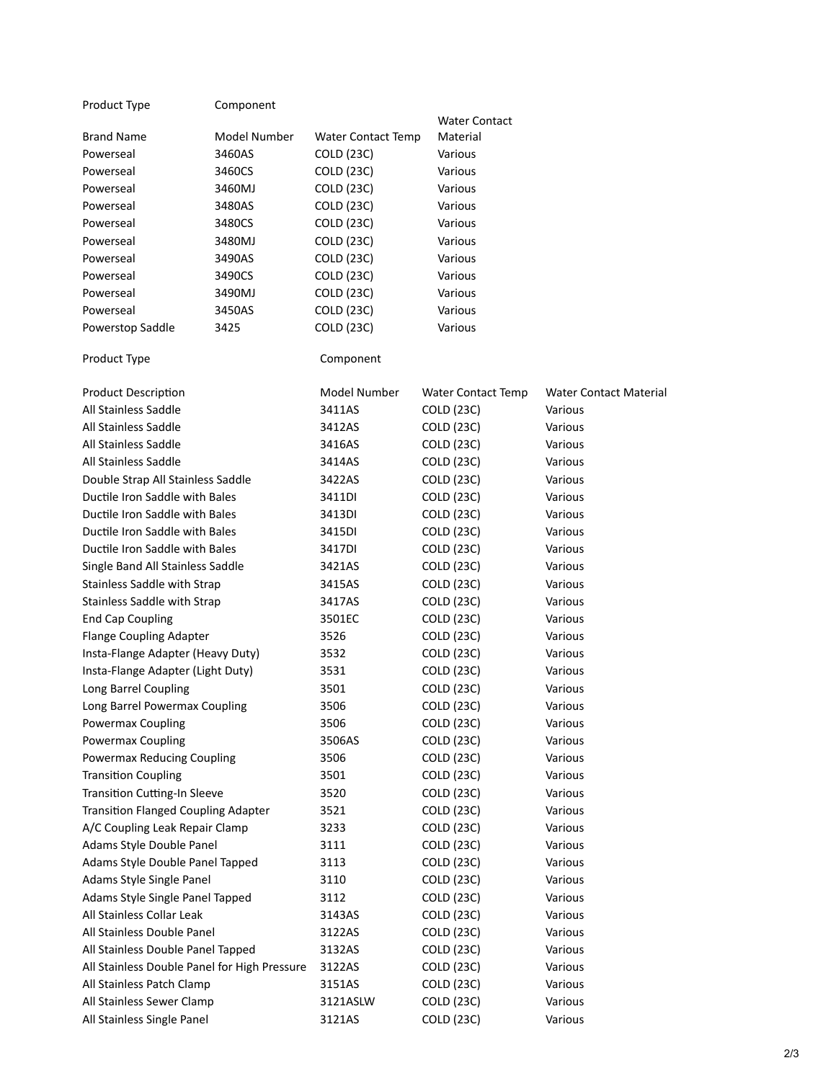#### Product Type **Component**

| <u></u>      |                           |               |
|--------------|---------------------------|---------------|
|              |                           | Water Contact |
| Model Number | <b>Water Contact Temp</b> | Material      |
| 3460AS       | <b>COLD (23C)</b>         | Various       |
| 3460CS       | <b>COLD (23C)</b>         | Various       |
| 3460MJ       | <b>COLD (23C)</b>         | Various       |
| 3480AS       | <b>COLD (23C)</b>         | Various       |
| 3480CS       | <b>COLD (23C)</b>         | Various       |
| 3480MJ       | <b>COLD (23C)</b>         | Various       |
| 3490AS       | <b>COLD (23C)</b>         | Various       |
| 3490CS       | <b>COLD (23C)</b>         | Various       |
| 3490MJ       | <b>COLD (23C)</b>         | Various       |
| 3450AS       | <b>COLD (23C)</b>         | Various       |
| 3425         | <b>COLD (23C)</b>         | Various       |
|              |                           |               |

### Product Type **Component**

| <b>Product Description</b>                   | Model Number | <b>Water Contact Temp</b> | <b>Water Contact Material</b> |
|----------------------------------------------|--------------|---------------------------|-------------------------------|
| All Stainless Saddle                         | 3411AS       | <b>COLD (23C)</b>         | Various                       |
| All Stainless Saddle                         | 3412AS       | <b>COLD (23C)</b>         | Various                       |
| All Stainless Saddle                         | 3416AS       | <b>COLD (23C)</b>         | Various                       |
| All Stainless Saddle                         | 3414AS       | <b>COLD (23C)</b>         | Various                       |
| Double Strap All Stainless Saddle            | 3422AS       | <b>COLD (23C)</b>         | Various                       |
| Ductile Iron Saddle with Bales               | 3411DI       | <b>COLD (23C)</b>         | Various                       |
| Ductile Iron Saddle with Bales               | 3413DI       | <b>COLD (23C)</b>         | Various                       |
| Ductile Iron Saddle with Bales               | 3415DI       | <b>COLD (23C)</b>         | Various                       |
| Ductile Iron Saddle with Bales               | 3417DI       | <b>COLD (23C)</b>         | Various                       |
| Single Band All Stainless Saddle             | 3421AS       | <b>COLD (23C)</b>         | Various                       |
| Stainless Saddle with Strap                  | 3415AS       | <b>COLD (23C)</b>         | Various                       |
| Stainless Saddle with Strap                  | 3417AS       | <b>COLD (23C)</b>         | Various                       |
| <b>End Cap Coupling</b>                      | 3501EC       | COLD (23C)                | Various                       |
| <b>Flange Coupling Adapter</b>               | 3526         | <b>COLD (23C)</b>         | Various                       |
| Insta-Flange Adapter (Heavy Duty)            | 3532         | <b>COLD (23C)</b>         | Various                       |
| Insta-Flange Adapter (Light Duty)            | 3531         | <b>COLD (23C)</b>         | Various                       |
| Long Barrel Coupling                         | 3501         | <b>COLD (23C)</b>         | Various                       |
| Long Barrel Powermax Coupling                | 3506         | <b>COLD (23C)</b>         | Various                       |
| Powermax Coupling                            | 3506         | <b>COLD (23C)</b>         | Various                       |
| Powermax Coupling                            | 3506AS       | <b>COLD (23C)</b>         | Various                       |
| Powermax Reducing Coupling                   | 3506         | <b>COLD (23C)</b>         | Various                       |
| <b>Transition Coupling</b>                   | 3501         | <b>COLD (23C)</b>         | Various                       |
| Transition Cutting-In Sleeve                 | 3520         | <b>COLD (23C)</b>         | Various                       |
| <b>Transition Flanged Coupling Adapter</b>   | 3521         | <b>COLD (23C)</b>         | Various                       |
| A/C Coupling Leak Repair Clamp               | 3233         | <b>COLD (23C)</b>         | Various                       |
| Adams Style Double Panel                     | 3111         | <b>COLD (23C)</b>         | Various                       |
| Adams Style Double Panel Tapped              | 3113         | <b>COLD (23C)</b>         | Various                       |
| Adams Style Single Panel                     | 3110         | <b>COLD (23C)</b>         | Various                       |
| Adams Style Single Panel Tapped              | 3112         | <b>COLD (23C)</b>         | Various                       |
| All Stainless Collar Leak                    | 3143AS       | <b>COLD (23C)</b>         | Various                       |
| All Stainless Double Panel                   | 3122AS       | COLD (23C)                | Various                       |
| All Stainless Double Panel Tapped            | 3132AS       | <b>COLD (23C)</b>         | Various                       |
| All Stainless Double Panel for High Pressure | 3122AS       | <b>COLD (23C)</b>         | Various                       |
| All Stainless Patch Clamp                    | 3151AS       | <b>COLD (23C)</b>         | Various                       |
| All Stainless Sewer Clamp                    | 3121ASLW     | <b>COLD (23C)</b>         | Various                       |
| All Stainless Single Panel                   | 3121AS       | <b>COLD (23C)</b>         | Various                       |